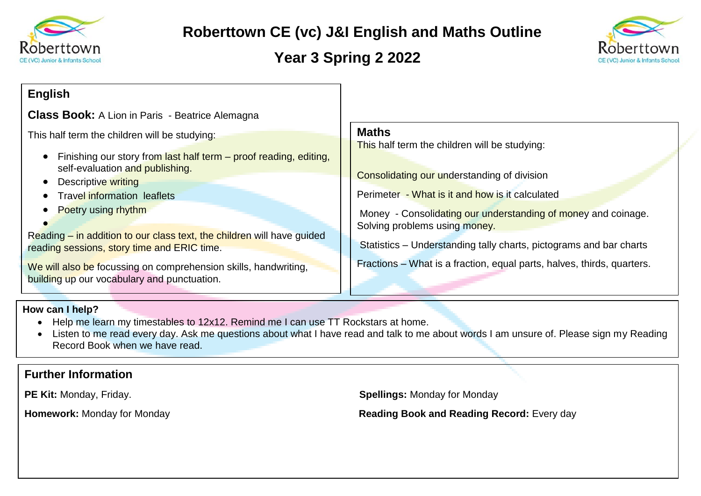

# **Roberttown CE (vc) J&I English and Maths Outline**

# **Year 3 Spring 2 2022**



### **English**

**Class Book:** A Lion in Paris - Beatrice Alemagna

This half term the children will be studying:

- Finishing our story from last half term proof reading, editing, self-evaluation and publishing.
- Descriptive writing
- Travel information leaflets
- Poetry using rhythm

 $\bullet$ Reading – in addition to our class text, the children will have guided reading sessions, story time and ERIC time.

We will also be focussing on comprehension skills, handwriting, building up our vocabulary and punctuation.

#### **Maths**

This half term the children will be studying:

Consolidating our understanding of division

Perimeter - What is it and how is it calculated

Money - Consolidating our understanding of money and coinage. Solving problems using money.

Statistics – Understanding tally charts, pictograms and bar charts

Fractions – What is a fraction, equal parts, halves, thirds, quarters.

#### **How can I help?**

- Help me learn my timestables to 12x12. Remind me I can use TT Rockstars at home.
- Listen to me read every day. Ask me questions about what I have read and talk to me about words I am unsure of. Please sign my Reading Record Book when we have read.

### **Further Information**

**PE Kit:** Monday, Friday. **Spellings:** Monday for Monday

**Homework:** Monday for Monday **Reading Book and Reading Record:** Every day